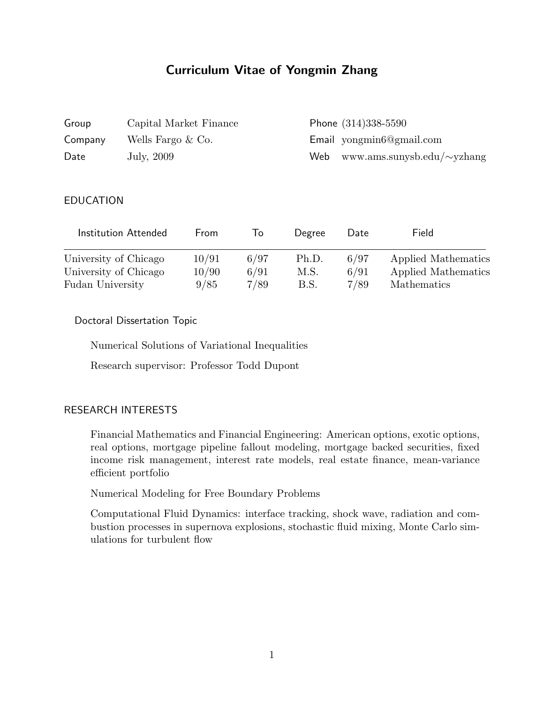# Curriculum Vitae of Yongmin Zhang

| Group   | Capital Market Finance | Phone (314)338-5590                   |
|---------|------------------------|---------------------------------------|
| Company | Wells Fargo $& Co.$    | $E$ mail yong $min6@g$ mail.com       |
| Date    | July, 2009             | Web www.ams.sunysb.edu/ $\sim$ yzhang |

#### EDUCATION

| Institution Attended  | From  | 1o   | Degree | Date | Field               |
|-----------------------|-------|------|--------|------|---------------------|
| University of Chicago | 10/91 | 6/97 | Ph.D.  | 6/97 | Applied Mathematics |
| University of Chicago | 10/90 | 6/91 | M.S.   | 6/91 | Applied Mathematics |
| Fudan University      | 9/85  | 7/89 | B.S.   | 7/89 | Mathematics         |

#### Doctoral Dissertation Topic

Numerical Solutions of Variational Inequalities

Research supervisor: Professor Todd Dupont

#### RESEARCH INTERESTS

Financial Mathematics and Financial Engineering: American options, exotic options, real options, mortgage pipeline fallout modeling, mortgage backed securities, fixed income risk management, interest rate models, real estate finance, mean-variance efficient portfolio

Numerical Modeling for Free Boundary Problems

Computational Fluid Dynamics: interface tracking, shock wave, radiation and combustion processes in supernova explosions, stochastic fluid mixing, Monte Carlo simulations for turbulent flow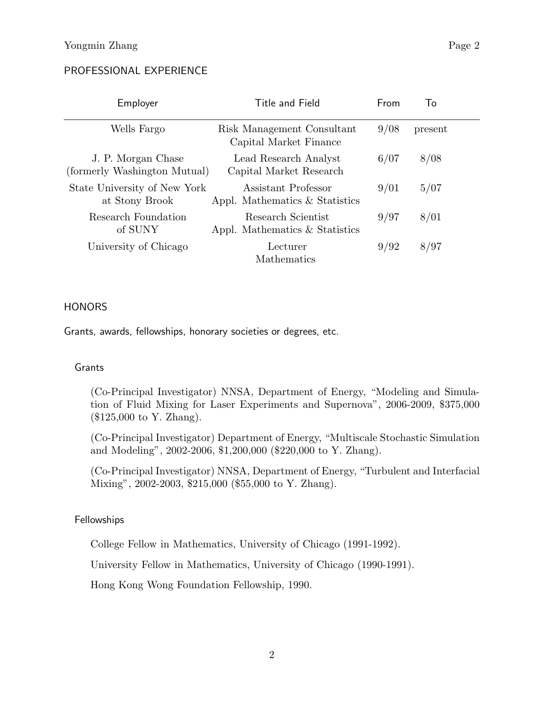## PROFESSIONAL EXPERIENCE

| Employer                                           | Title and Field                                       | From | To      |
|----------------------------------------------------|-------------------------------------------------------|------|---------|
| Wells Fargo                                        | Risk Management Consultant<br>Capital Market Finance  | 9/08 | present |
| J. P. Morgan Chase<br>(formerly Washington Mutual) | Lead Research Analyst<br>Capital Market Research      | 6/07 | 8/08    |
| State University of New York<br>at Stony Brook     | Assistant Professor<br>Appl. Mathematics & Statistics | 9/01 | 5/07    |
| Research Foundation<br>of SUNY                     | Research Scientist<br>Appl. Mathematics & Statistics  | 9/97 | 8/01    |
| University of Chicago                              | Lecturer<br>Mathematics                               | 9/92 | 8/97    |

#### **HONORS**

Grants, awards, fellowships, honorary societies or degrees, etc.

#### Grants

(Co-Principal Investigator) NNSA, Department of Energy, "Modeling and Simulation of Fluid Mixing for Laser Experiments and Supernova", 2006-2009, \$375,000 (\$125,000 to Y. Zhang).

(Co-Principal Investigator) Department of Energy, "Multiscale Stochastic Simulation and Modeling", 2002-2006, \$1,200,000 (\$220,000 to Y. Zhang).

(Co-Principal Investigator) NNSA, Department of Energy, "Turbulent and Interfacial Mixing", 2002-2003, \$215,000 (\$55,000 to Y. Zhang).

#### Fellowships

College Fellow in Mathematics, University of Chicago (1991-1992).

University Fellow in Mathematics, University of Chicago (1990-1991).

Hong Kong Wong Foundation Fellowship, 1990.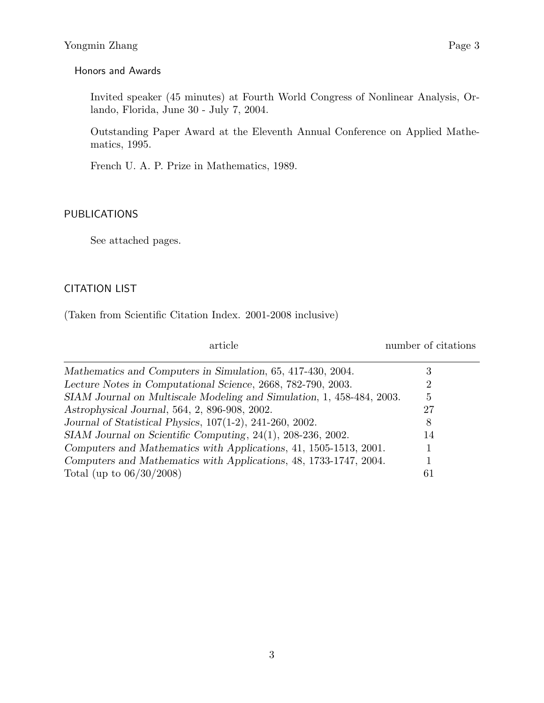#### Honors and Awards

Invited speaker (45 minutes) at Fourth World Congress of Nonlinear Analysis, Orlando, Florida, June 30 - July 7, 2004.

Outstanding Paper Award at the Eleventh Annual Conference on Applied Mathematics, 1995.

French U. A. P. Prize in Mathematics, 1989.

#### PUBLICATIONS

See attached pages.

#### CITATION LIST

(Taken from Scientific Citation Index. 2001-2008 inclusive)

| article                                                               | number of citations |
|-----------------------------------------------------------------------|---------------------|
| Mathematics and Computers in Simulation, 65, 417-430, 2004.           | 3                   |
| Lecture Notes in Computational Science, 2668, 782-790, 2003.          |                     |
| SIAM Journal on Multiscale Modeling and Simulation, 1, 458-484, 2003. | 5                   |
| Astrophysical Journal, 564, 2, 896-908, 2002.                         | 27                  |
| Journal of Statistical Physics, 107(1-2), 241-260, 2002.              | 8                   |
| SIAM Journal on Scientific Computing, 24(1), 208-236, 2002.           | 14                  |
| Computers and Mathematics with Applications, 41, 1505-1513, 2001.     |                     |
| Computers and Mathematics with Applications, 48, 1733-1747, 2004.     |                     |
| Total (up to $06/30/2008$ )                                           | 61                  |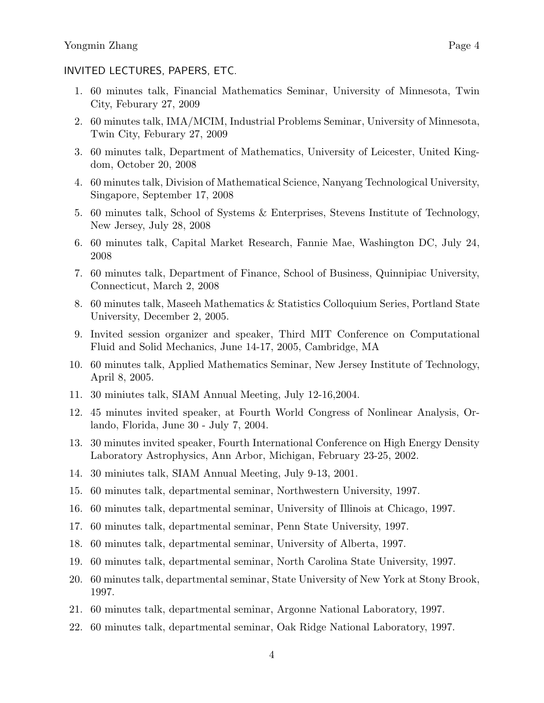#### INVITED LECTURES, PAPERS, ETC.

- 1. 60 minutes talk, Financial Mathematics Seminar, University of Minnesota, Twin City, Feburary 27, 2009
- 2. 60 minutes talk, IMA/MCIM, Industrial Problems Seminar, University of Minnesota, Twin City, Feburary 27, 2009
- 3. 60 minutes talk, Department of Mathematics, University of Leicester, United Kingdom, October 20, 2008
- 4. 60 minutes talk, Division of Mathematical Science, Nanyang Technological University, Singapore, September 17, 2008
- 5. 60 minutes talk, School of Systems & Enterprises, Stevens Institute of Technology, New Jersey, July 28, 2008
- 6. 60 minutes talk, Capital Market Research, Fannie Mae, Washington DC, July 24, 2008
- 7. 60 minutes talk, Department of Finance, School of Business, Quinnipiac University, Connecticut, March 2, 2008
- 8. 60 minutes talk, Maseeh Mathematics & Statistics Colloquium Series, Portland State University, December 2, 2005.
- 9. Invited session organizer and speaker, Third MIT Conference on Computational Fluid and Solid Mechanics, June 14-17, 2005, Cambridge, MA
- 10. 60 minutes talk, Applied Mathematics Seminar, New Jersey Institute of Technology, April 8, 2005.
- 11. 30 miniutes talk, SIAM Annual Meeting, July 12-16,2004.
- 12. 45 minutes invited speaker, at Fourth World Congress of Nonlinear Analysis, Orlando, Florida, June 30 - July 7, 2004.
- 13. 30 minutes invited speaker, Fourth International Conference on High Energy Density Laboratory Astrophysics, Ann Arbor, Michigan, February 23-25, 2002.
- 14. 30 miniutes talk, SIAM Annual Meeting, July 9-13, 2001.
- 15. 60 minutes talk, departmental seminar, Northwestern University, 1997.
- 16. 60 minutes talk, departmental seminar, University of Illinois at Chicago, 1997.
- 17. 60 minutes talk, departmental seminar, Penn State University, 1997.
- 18. 60 minutes talk, departmental seminar, University of Alberta, 1997.
- 19. 60 minutes talk, departmental seminar, North Carolina State University, 1997.
- 20. 60 minutes talk, departmental seminar, State University of New York at Stony Brook, 1997.
- 21. 60 minutes talk, departmental seminar, Argonne National Laboratory, 1997.
- 22. 60 minutes talk, departmental seminar, Oak Ridge National Laboratory, 1997.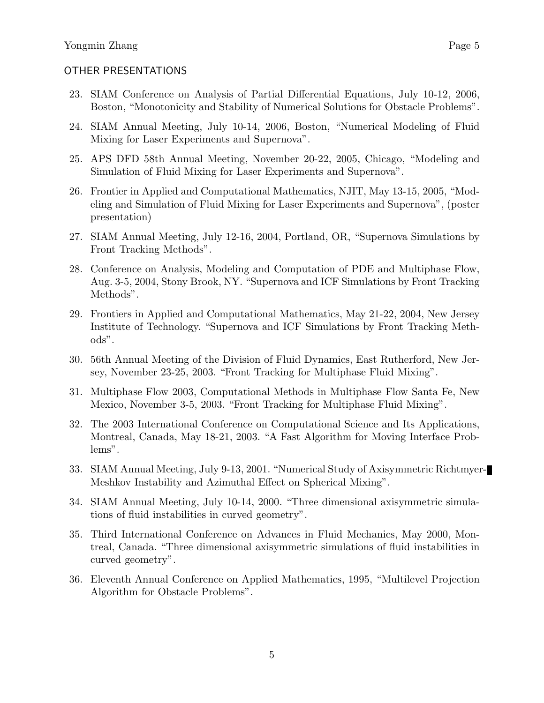- 23. SIAM Conference on Analysis of Partial Differential Equations, July 10-12, 2006, Boston, "Monotonicity and Stability of Numerical Solutions for Obstacle Problems".
- 24. SIAM Annual Meeting, July 10-14, 2006, Boston, "Numerical Modeling of Fluid Mixing for Laser Experiments and Supernova".
- 25. APS DFD 58th Annual Meeting, November 20-22, 2005, Chicago, "Modeling and Simulation of Fluid Mixing for Laser Experiments and Supernova".
- 26. Frontier in Applied and Computational Mathematics, NJIT, May 13-15, 2005, "Modeling and Simulation of Fluid Mixing for Laser Experiments and Supernova", (poster presentation)
- 27. SIAM Annual Meeting, July 12-16, 2004, Portland, OR, "Supernova Simulations by Front Tracking Methods".
- 28. Conference on Analysis, Modeling and Computation of PDE and Multiphase Flow, Aug. 3-5, 2004, Stony Brook, NY. "Supernova and ICF Simulations by Front Tracking Methods".
- 29. Frontiers in Applied and Computational Mathematics, May 21-22, 2004, New Jersey Institute of Technology. "Supernova and ICF Simulations by Front Tracking Methods".
- 30. 56th Annual Meeting of the Division of Fluid Dynamics, East Rutherford, New Jersey, November 23-25, 2003. "Front Tracking for Multiphase Fluid Mixing".
- 31. Multiphase Flow 2003, Computational Methods in Multiphase Flow Santa Fe, New Mexico, November 3-5, 2003. "Front Tracking for Multiphase Fluid Mixing".
- 32. The 2003 International Conference on Computational Science and Its Applications, Montreal, Canada, May 18-21, 2003. "A Fast Algorithm for Moving Interface Problems".
- 33. SIAM Annual Meeting, July 9-13, 2001. "Numerical Study of Axisymmetric Richtmyer-Meshkov Instability and Azimuthal Effect on Spherical Mixing".
- 34. SIAM Annual Meeting, July 10-14, 2000. "Three dimensional axisymmetric simulations of fluid instabilities in curved geometry".
- 35. Third International Conference on Advances in Fluid Mechanics, May 2000, Montreal, Canada. "Three dimensional axisymmetric simulations of fluid instabilities in curved geometry".
- 36. Eleventh Annual Conference on Applied Mathematics, 1995, "Multilevel Projection Algorithm for Obstacle Problems".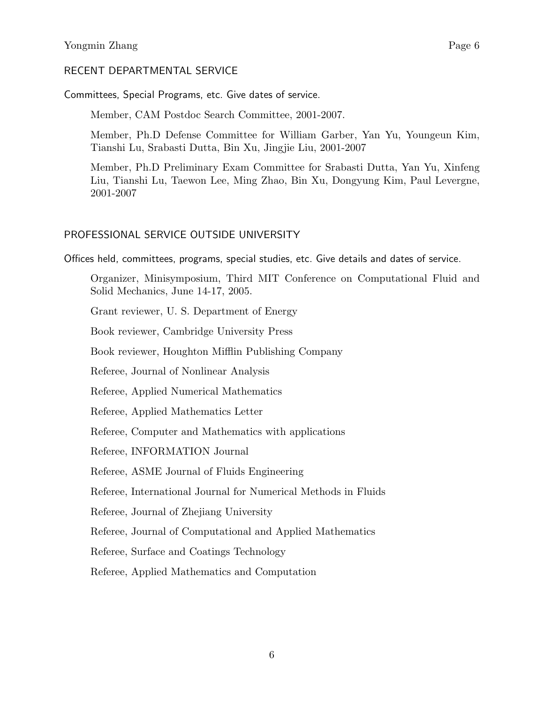#### RECENT DEPARTMENTAL SERVICE

Committees, Special Programs, etc. Give dates of service.

Member, CAM Postdoc Search Committee, 2001-2007.

Member, Ph.D Defense Committee for William Garber, Yan Yu, Youngeun Kim, Tianshi Lu, Srabasti Dutta, Bin Xu, Jingjie Liu, 2001-2007

Member, Ph.D Preliminary Exam Committee for Srabasti Dutta, Yan Yu, Xinfeng Liu, Tianshi Lu, Taewon Lee, Ming Zhao, Bin Xu, Dongyung Kim, Paul Levergne, 2001-2007

#### PROFESSIONAL SERVICE OUTSIDE UNIVERSITY

Offices held, committees, programs, special studies, etc. Give details and dates of service.

Organizer, Minisymposium, Third MIT Conference on Computational Fluid and Solid Mechanics, June 14-17, 2005.

Grant reviewer, U. S. Department of Energy

Book reviewer, Cambridge University Press

Book reviewer, Houghton Mifflin Publishing Company

Referee, Journal of Nonlinear Analysis

Referee, Applied Numerical Mathematics

Referee, Applied Mathematics Letter

Referee, Computer and Mathematics with applications

Referee, INFORMATION Journal

Referee, ASME Journal of Fluids Engineering

Referee, International Journal for Numerical Methods in Fluids

Referee, Journal of Zhejiang University

Referee, Journal of Computational and Applied Mathematics

Referee, Surface and Coatings Technology

Referee, Applied Mathematics and Computation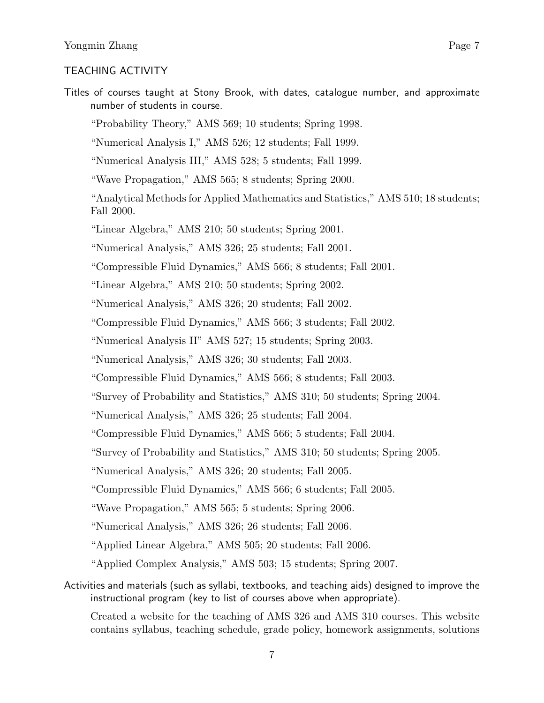#### TEACHING ACTIVITY

Titles of courses taught at Stony Brook, with dates, catalogue number, and approximate number of students in course.

"Probability Theory," AMS 569; 10 students; Spring 1998.

"Numerical Analysis I," AMS 526; 12 students; Fall 1999.

"Numerical Analysis III," AMS 528; 5 students; Fall 1999.

"Wave Propagation," AMS 565; 8 students; Spring 2000.

"Analytical Methods for Applied Mathematics and Statistics," AMS 510; 18 students; Fall 2000.

"Linear Algebra," AMS 210; 50 students; Spring 2001.

"Numerical Analysis," AMS 326; 25 students; Fall 2001.

"Compressible Fluid Dynamics," AMS 566; 8 students; Fall 2001.

"Linear Algebra," AMS 210; 50 students; Spring 2002.

"Numerical Analysis," AMS 326; 20 students; Fall 2002.

"Compressible Fluid Dynamics," AMS 566; 3 students; Fall 2002.

"Numerical Analysis II" AMS 527; 15 students; Spring 2003.

"Numerical Analysis," AMS 326; 30 students; Fall 2003.

"Compressible Fluid Dynamics," AMS 566; 8 students; Fall 2003.

"Survey of Probability and Statistics," AMS 310; 50 students; Spring 2004.

"Numerical Analysis," AMS 326; 25 students; Fall 2004.

"Compressible Fluid Dynamics," AMS 566; 5 students; Fall 2004.

"Survey of Probability and Statistics," AMS 310; 50 students; Spring 2005.

"Numerical Analysis," AMS 326; 20 students; Fall 2005.

"Compressible Fluid Dynamics," AMS 566; 6 students; Fall 2005.

"Wave Propagation," AMS 565; 5 students; Spring 2006.

"Numerical Analysis," AMS 326; 26 students; Fall 2006.

"Applied Linear Algebra," AMS 505; 20 students; Fall 2006.

"Applied Complex Analysis," AMS 503; 15 students; Spring 2007.

Activities and materials (such as syllabi, textbooks, and teaching aids) designed to improve the instructional program (key to list of courses above when appropriate).

Created a website for the teaching of AMS 326 and AMS 310 courses. This website contains syllabus, teaching schedule, grade policy, homework assignments, solutions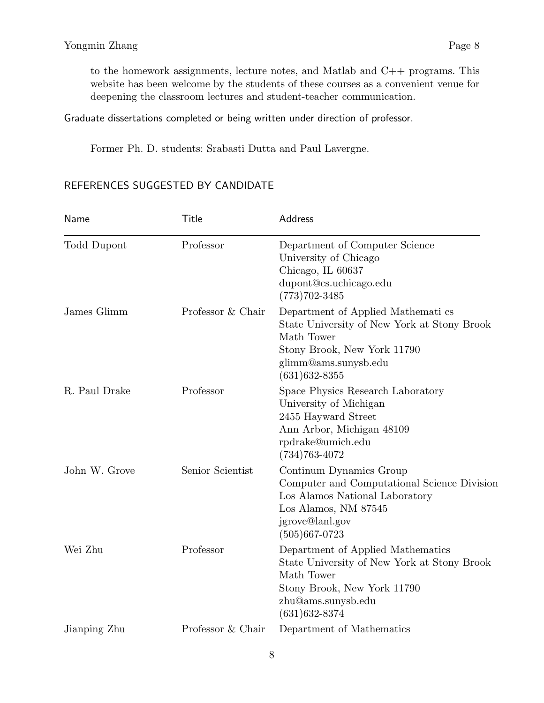to the homework assignments, lecture notes, and Matlab and C++ programs. This website has been welcome by the students of these courses as a convenient venue for deepening the classroom lectures and student-teacher communication.

### Graduate dissertations completed or being written under direction of professor.

Former Ph. D. students: Srabasti Dutta and Paul Lavergne.

## REFERENCES SUGGESTED BY CANDIDATE

| Name          | Title             | Address                                                                                                                                                                    |
|---------------|-------------------|----------------------------------------------------------------------------------------------------------------------------------------------------------------------------|
| Todd Dupont   | Professor         | Department of Computer Science<br>University of Chicago<br>Chicago, IL 60637<br>dupont@cs.uchicago.edu<br>$(773)702 - 3485$                                                |
| James Glimm   | Professor & Chair | Department of Applied Mathematics<br>State University of New York at Stony Brook<br>Math Tower<br>Stony Brook, New York 11790<br>glimm@ams.sunysb.edu<br>$(631)632 - 8355$ |
| R. Paul Drake | Professor         | Space Physics Research Laboratory<br>University of Michigan<br>2455 Hayward Street<br>Ann Arbor, Michigan 48109<br>rpdrake@umich.edu<br>$(734)763 - 4072$                  |
| John W. Grove | Senior Scientist  | Continum Dynamics Group<br>Computer and Computational Science Division<br>Los Alamos National Laboratory<br>Los Alamos, NM 87545<br>jgrove@lanl.gov<br>$(505)667 - 0723$   |
| Wei Zhu       | Professor         | Department of Applied Mathematics<br>State University of New York at Stony Brook<br>Math Tower<br>Stony Brook, New York 11790<br>zhu@ams.sunysb.edu<br>$(631)632 - 8374$   |
| Jianping Zhu  | Professor & Chair | Department of Mathematics                                                                                                                                                  |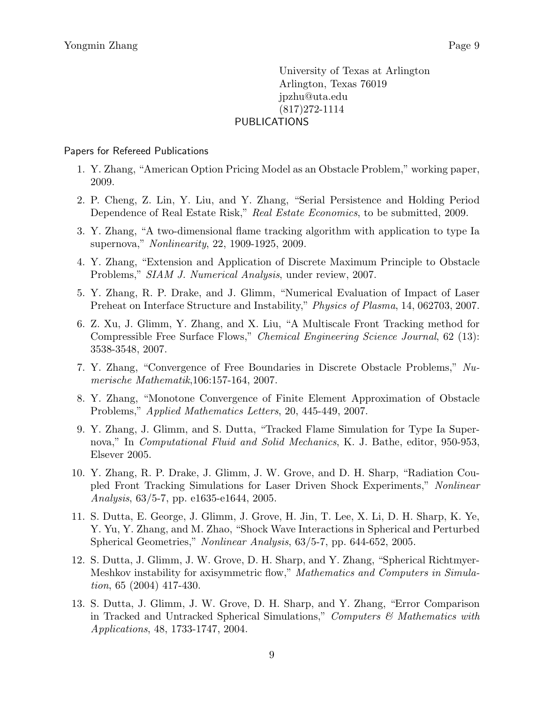University of Texas at Arlington Arlington, Texas 76019 jpzhu@uta.edu (817)272-1114 PUBLICATIONS

#### Papers for Refereed Publications

- 1. Y. Zhang, "American Option Pricing Model as an Obstacle Problem," working paper, 2009.
- 2. P. Cheng, Z. Lin, Y. Liu, and Y. Zhang, "Serial Persistence and Holding Period Dependence of Real Estate Risk," Real Estate Economics, to be submitted, 2009.
- 3. Y. Zhang, "A two-dimensional flame tracking algorithm with application to type Ia supernova," Nonlinearity, 22, 1909-1925, 2009.
- 4. Y. Zhang, "Extension and Application of Discrete Maximum Principle to Obstacle Problems," SIAM J. Numerical Analysis, under review, 2007.
- 5. Y. Zhang, R. P. Drake, and J. Glimm, "Numerical Evaluation of Impact of Laser Preheat on Interface Structure and Instability," Physics of Plasma, 14, 062703, 2007.
- 6. Z. Xu, J. Glimm, Y. Zhang, and X. Liu, "A Multiscale Front Tracking method for Compressible Free Surface Flows," Chemical Engineering Science Journal, 62 (13): 3538-3548, 2007.
- 7. Y. Zhang, "Convergence of Free Boundaries in Discrete Obstacle Problems," Numerische Mathematik,106:157-164, 2007.
- 8. Y. Zhang, "Monotone Convergence of Finite Element Approximation of Obstacle Problems," Applied Mathematics Letters, 20, 445-449, 2007.
- 9. Y. Zhang, J. Glimm, and S. Dutta, "Tracked Flame Simulation for Type Ia Supernova," In *Computational Fluid and Solid Mechanics*, K. J. Bathe, editor, 950-953, Elsever 2005.
- 10. Y. Zhang, R. P. Drake, J. Glimm, J. W. Grove, and D. H. Sharp, "Radiation Coupled Front Tracking Simulations for Laser Driven Shock Experiments," Nonlinear Analysis, 63/5-7, pp. e1635-e1644, 2005.
- 11. S. Dutta, E. George, J. Glimm, J. Grove, H. Jin, T. Lee, X. Li, D. H. Sharp, K. Ye, Y. Yu, Y. Zhang, and M. Zhao, "Shock Wave Interactions in Spherical and Perturbed Spherical Geometries," Nonlinear Analysis, 63/5-7, pp. 644-652, 2005.
- 12. S. Dutta, J. Glimm, J. W. Grove, D. H. Sharp, and Y. Zhang, "Spherical Richtmyer-Meshkov instability for axisymmetric flow," Mathematics and Computers in Simulation, 65 (2004) 417-430.
- 13. S. Dutta, J. Glimm, J. W. Grove, D. H. Sharp, and Y. Zhang, "Error Comparison in Tracked and Untracked Spherical Simulations," Computers  $\mathcal{C}$  Mathematics with Applications, 48, 1733-1747, 2004.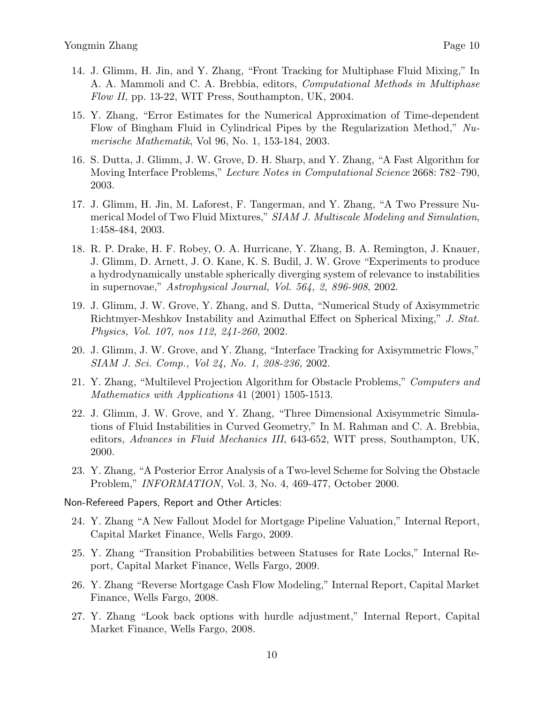- 14. J. Glimm, H. Jin, and Y. Zhang, "Front Tracking for Multiphase Fluid Mixing," In A. A. Mammoli and C. A. Brebbia, editors, Computational Methods in Multiphase Flow II, pp. 13-22, WIT Press, Southampton, UK, 2004.
- 15. Y. Zhang, "Error Estimates for the Numerical Approximation of Time-dependent Flow of Bingham Fluid in Cylindrical Pipes by the Regularization Method," Numerische Mathematik, Vol 96, No. 1, 153-184, 2003.
- 16. S. Dutta, J. Glimm, J. W. Grove, D. H. Sharp, and Y. Zhang, "A Fast Algorithm for Moving Interface Problems," Lecture Notes in Computational Science 2668: 782–790, 2003.
- 17. J. Glimm, H. Jin, M. Laforest, F. Tangerman, and Y. Zhang, "A Two Pressure Numerical Model of Two Fluid Mixtures," SIAM J. Multiscale Modeling and Simulation, 1:458-484, 2003.
- 18. R. P. Drake, H. F. Robey, O. A. Hurricane, Y. Zhang, B. A. Remington, J. Knauer, J. Glimm, D. Arnett, J. O. Kane, K. S. Budil, J. W. Grove "Experiments to produce a hydrodynamically unstable spherically diverging system of relevance to instabilities in supernovae," Astrophysical Journal, Vol. 564, 2, 896-908, 2002.
- 19. J. Glimm, J. W. Grove, Y. Zhang, and S. Dutta, "Numerical Study of Axisymmetric Richtmyer-Meshkov Instability and Azimuthal Effect on Spherical Mixing," J. Stat. Physics, Vol. 107, nos 112, 241-260, 2002.
- 20. J. Glimm, J. W. Grove, and Y. Zhang, "Interface Tracking for Axisymmetric Flows," SIAM J. Sci. Comp., Vol 24, No. 1, 208-236, 2002.
- 21. Y. Zhang, "Multilevel Projection Algorithm for Obstacle Problems," Computers and Mathematics with Applications 41 (2001) 1505-1513.
- 22. J. Glimm, J. W. Grove, and Y. Zhang, "Three Dimensional Axisymmetric Simulations of Fluid Instabilities in Curved Geometry," In M. Rahman and C. A. Brebbia, editors, Advances in Fluid Mechanics III, 643-652, WIT press, Southampton, UK, 2000.
- 23. Y. Zhang, "A Posterior Error Analysis of a Two-level Scheme for Solving the Obstacle Problem," INFORMATION, Vol. 3, No. 4, 469-477, October 2000.
- Non-Refereed Papers, Report and Other Articles:
	- 24. Y. Zhang "A New Fallout Model for Mortgage Pipeline Valuation," Internal Report, Capital Market Finance, Wells Fargo, 2009.
	- 25. Y. Zhang "Transition Probabilities between Statuses for Rate Locks," Internal Report, Capital Market Finance, Wells Fargo, 2009.
	- 26. Y. Zhang "Reverse Mortgage Cash Flow Modeling," Internal Report, Capital Market Finance, Wells Fargo, 2008.
	- 27. Y. Zhang "Look back options with hurdle adjustment," Internal Report, Capital Market Finance, Wells Fargo, 2008.